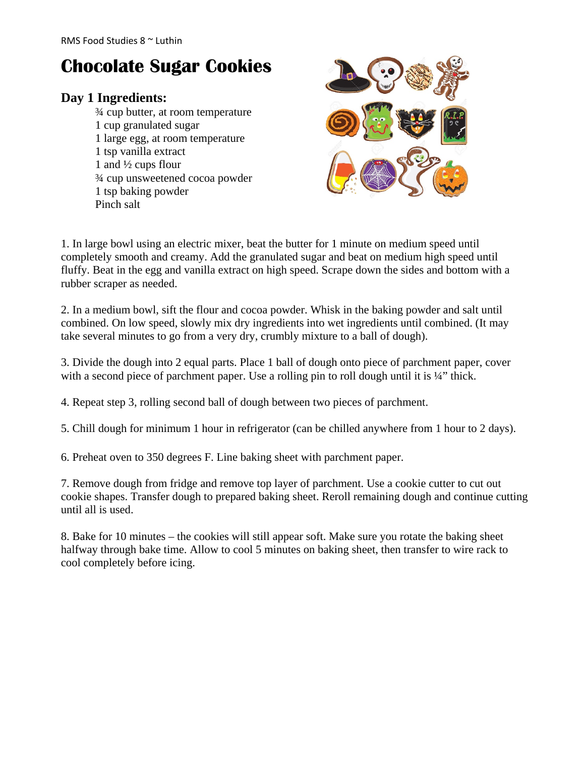## **Chocolate Sugar Cookies**

## **Day 1 Ingredients:**

¾ cup butter, at room temperature 1 cup granulated sugar 1 large egg, at room temperature 1 tsp vanilla extract 1 and ½ cups flour ¾ cup unsweetened cocoa powder 1 tsp baking powder Pinch salt



1. In large bowl using an electric mixer, beat the butter for 1 minute on medium speed until completely smooth and creamy. Add the granulated sugar and beat on medium high speed until fluffy. Beat in the egg and vanilla extract on high speed. Scrape down the sides and bottom with a rubber scraper as needed.

2. In a medium bowl, sift the flour and cocoa powder. Whisk in the baking powder and salt until combined. On low speed, slowly mix dry ingredients into wet ingredients until combined. (It may take several minutes to go from a very dry, crumbly mixture to a ball of dough).

3. Divide the dough into 2 equal parts. Place 1 ball of dough onto piece of parchment paper, cover with a second piece of parchment paper. Use a rolling pin to roll dough until it is ¼" thick.

4. Repeat step 3, rolling second ball of dough between two pieces of parchment.

5. Chill dough for minimum 1 hour in refrigerator (can be chilled anywhere from 1 hour to 2 days).

6. Preheat oven to 350 degrees F. Line baking sheet with parchment paper.

7. Remove dough from fridge and remove top layer of parchment. Use a cookie cutter to cut out cookie shapes. Transfer dough to prepared baking sheet. Reroll remaining dough and continue cutting until all is used.

8. Bake for 10 minutes – the cookies will still appear soft. Make sure you rotate the baking sheet halfway through bake time. Allow to cool 5 minutes on baking sheet, then transfer to wire rack to cool completely before icing.